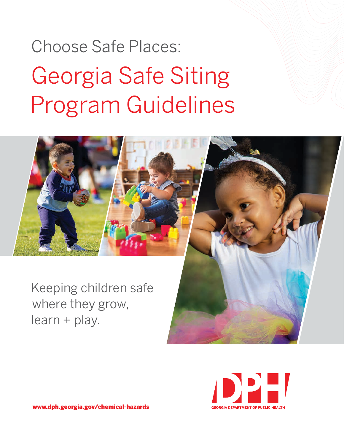# Georgia Safe Siting Program Guidelines Choose Safe Places:





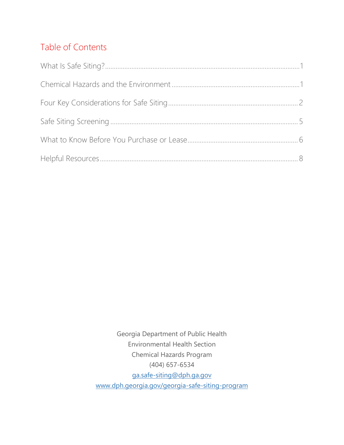# Table of Contents

Georgia Department of Public Health Environmental Health Section Chemical Hazards Program (404) 657-6534 [ga.safe-siting@dph.ga.gov](mailto:ga.safe-siting@dph.ga.gov) [www.dph.georgia.gov/georgia-safe-siting-program](http://www.dph.georgia.gov/georgia-safe-siting-program)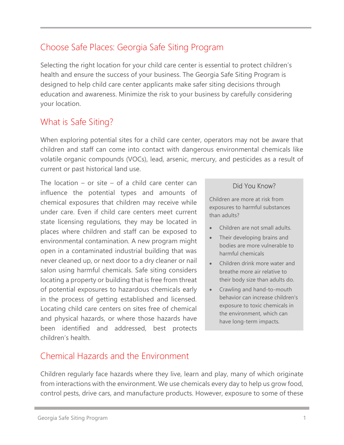# Choose Safe Places: Georgia Safe Siting Program

Selecting the right location for your child care center is essential to protect children's health and ensure the success of your business. The Georgia Safe Siting Program is designed to help child care center applicants make safer siting decisions through education and awareness. Minimize the risk to your business by carefully considering your location.

# <span id="page-2-0"></span>What is Safe Siting?

When exploring potential sites for a child care center, operators may not be aware that children and staff can come into contact with dangerous environmental chemicals like volatile organic compounds (VOCs), lead, arsenic, mercury, and pesticides as a result of current or past historical land use.

The location – or site – of a child care center can influence the potential types and amounts of chemical exposures that children may receive while under care. Even if child care centers meet current state licensing regulations, they may be located in places where children and staff can be exposed to environmental contamination. A new program might open in a contaminated industrial building that was never cleaned up, or next door to a dry cleaner or nail salon using harmful chemicals. Safe siting considers locating a property or building that is free from threat of potential exposures to hazardous chemicals early in the process of getting established and licensed. Locating child care centers on sites free of chemical and physical hazards, or where those hazards have been identified and addressed, best protects children's health.

## Did You Know?

Children are more at risk from exposures to harmful substances than adults?

- Children are not small adults.
- Their developing brains and bodies are more vulnerable to harmful chemicals
- Children drink more water and breathe more air relative to their body size than adults do.
- Crawling and hand-to-mouth behavior can increase children's exposure to toxic chemicals in the environment, which can have long-term impacts.

# <span id="page-2-1"></span>Chemical Hazards and the Environment

Children regularly face hazards where they live, learn and play, many of which originate from interactions with the environment. We use chemicals every day to help us grow food, control pests, drive cars, and manufacture products. However, exposure to some of these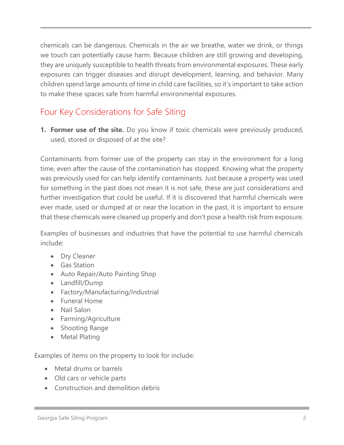chemicals can be dangerous. Chemicals in the air we breathe, water we drink, or things we touch can potentially cause harm. Because children are still growing and developing, they are uniquely susceptible to health threats from environmental exposures. These early exposures can trigger diseases and disrupt development, learning, and behavior. Many children spend large amounts of time in child care facilities, so it's important to take action to make these spaces safe from harmful environmental exposures.

# <span id="page-3-0"></span>Four Key Considerations for Safe Siting

**1. Former use of the site.** Do you know if toxic chemicals were previously produced, used, stored or disposed of at the site?

Contaminants from former use of the property can stay in the environment for a long time, even after the cause of the contamination has stopped. Knowing what the property was previously used for can help identify contaminants. Just because a property was used for something in the past does not mean it is not safe, these are just considerations and further investigation that could be useful. If it is discovered that harmful chemicals were ever made, used or dumped at or near the location in the past, it is important to ensure that these chemicals were cleaned up properly and don't pose a health risk from exposure.

Examples of businesses and industries that have the potential to use harmful chemicals include:

- Dry Cleaner
- Gas Station
- Auto Repair/Auto Painting Shop
- Landfill/Dump
- Factory/Manufacturing/Industrial
- Funeral Home
- Nail Salon
- Farming/Agriculture
- Shooting Range
- Metal Plating

Examples of items on the property to look for include:

- Metal drums or barrels
- Old cars or vehicle parts
- Construction and demolition debris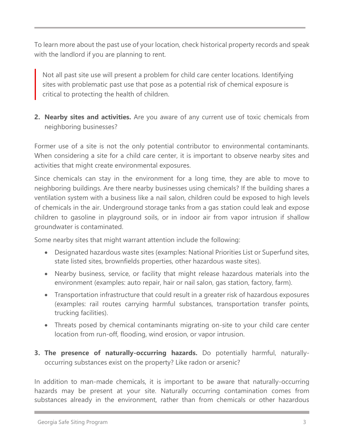To learn more about the past use of your location, check historical property records and speak with the landlord if you are planning to rent.

Not all past site use will present a problem for child care center locations. Identifying sites with problematic past use that pose as a potential risk of chemical exposure is critical to protecting the health of children.

**2. Nearby sites and activities.** Are you aware of any current use of toxic chemicals from neighboring businesses?

Former use of a site is not the only potential contributor to environmental contaminants. When considering a site for a child care center, it is important to observe nearby sites and activities that might create environmental exposures.

Since chemicals can stay in the environment for a long time, they are able to move to neighboring buildings. Are there nearby businesses using chemicals? If the building shares a ventilation system with a business like a nail salon, children could be exposed to high levels of chemicals in the air. Underground storage tanks from a gas station could leak and expose children to gasoline in playground soils, or in indoor air from vapor intrusion if shallow groundwater is contaminated.

Some nearby sites that might warrant attention include the following:

- Designated hazardous waste sites (examples: National Priorities List or Superfund sites, state listed sites, brownfields properties, other hazardous waste sites).
- Nearby business, service, or facility that might release hazardous materials into the environment (examples: auto repair, hair or nail salon, gas station, factory, farm).
- Transportation infrastructure that could result in a greater risk of hazardous exposures (examples: rail routes carrying harmful substances, transportation transfer points, trucking facilities).
- Threats posed by chemical contaminants migrating on-site to your child care center location from run-off, flooding, wind erosion, or vapor intrusion.
- **3. The presence of naturally-occurring hazards.** Do potentially harmful, naturallyoccurring substances exist on the property? Like radon or arsenic?

In addition to man-made chemicals, it is important to be aware that naturally-occurring hazards may be present at your site. Naturally occurring contamination comes from substances already in the environment, rather than from chemicals or other hazardous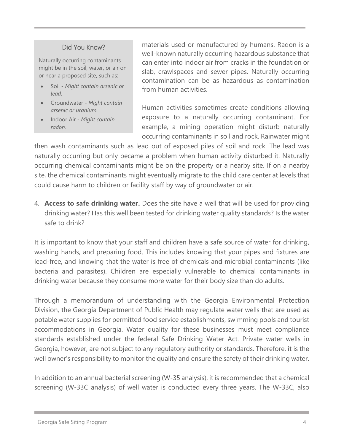## Did You Know?

Naturally occurring contaminants might be in the soil, water, or air on or near a proposed site, such as:

- Soil *Might contain arsenic or lead*.
- Groundwater *Might contain arsenic or uranium.*
- Indoor Air *Might contain radon.*

materials used or manufactured by humans. Radon is a well-known naturally occurring hazardous substance that can enter into indoor air from cracks in the foundation or slab, crawlspaces and sewer pipes. Naturally occurring contamination can be as hazardous as contamination from human activities.

Human activities sometimes create conditions allowing exposure to a naturally occurring contaminant. For example, a mining operation might disturb naturally occurring contaminants in soil and rock. Rainwater might

then wash contaminants such as lead out of exposed piles of soil and rock. The lead was naturally occurring but only became a problem when human activity disturbed it. Naturally occurring chemical contaminants might be on the property or a nearby site. If on a nearby site, the chemical contaminants might eventually migrate to the child care center at levels that could cause harm to children or facility staff by way of groundwater or air.

4. **Access to safe drinking water.** Does the site have a well that will be used for providing drinking water? Has this well been tested for drinking water quality standards? Is the water safe to drink?

It is important to know that your staff and children have a safe source of water for drinking, washing hands, and preparing food. This includes knowing that your pipes and fixtures are lead-free, and knowing that the water is free of chemicals and microbial contaminants (like bacteria and parasites). Children are especially vulnerable to chemical contaminants in drinking water because they consume more water for their body size than do adults.

Through a memorandum of understanding with the Georgia Environmental Protection Division, the Georgia Department of Public Health may regulate water wells that are used as potable water supplies for permitted food service establishments, swimming pools and tourist accommodations in Georgia. Water quality for these businesses must meet compliance standards established under the federal Safe Drinking Water Act. Private water wells in Georgia, however, are not subject to any regulatory authority or standards. Therefore, it is the well owner's responsibility to monitor the quality and ensure the safety of their drinking water.

In addition to an annual bacterial screening (W-35 analysis), it is recommended that a chemical screening (W-33C analysis) of well water is conducted every three years. The W-33C, also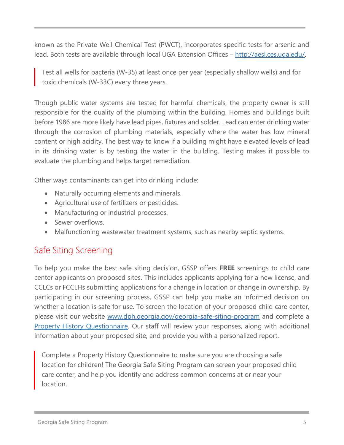known as the Private Well Chemical Test (PWCT), incorporates specific tests for arsenic and lead. Both tests are available through local UGA Extension Offices - [http://aesl.ces.uga.edu/.](http://aesl.ces.uga.edu/)

Test all wells for bacteria (W-35) at least once per year (especially shallow wells) and for toxic chemicals (W-33C) every three years.

Though public water systems are tested for harmful chemicals, the property owner is still responsible for the quality of the plumbing within the building. Homes and buildings built before 1986 are more likely have lead pipes, fixtures and solder. Lead can enter drinking water through the corrosion of plumbing materials, especially where the water has low mineral content or high acidity. The best way to know if a building might have elevated levels of lead in its drinking water is by testing the water in the building. Testing makes it possible to evaluate the plumbing and helps target remediation.

Other ways contaminants can get into drinking include:

- Naturally occurring elements and minerals.
- Agricultural use of fertilizers or pesticides.
- Manufacturing or industrial processes.
- Sewer overflows.
- Malfunctioning wastewater treatment systems, such as nearby septic systems.

# <span id="page-6-0"></span>Safe Siting Screening

To help you make the best safe siting decision, GSSP offers **FREE** screenings to child care center applicants on proposed sites. This includes applicants applying for a new license, and CCLCs or FCCLHs submitting applications for a change in location or change in ownership. By participating in our screening process, GSSP can help you make an informed decision on whether a location is safe for use. To screen the location of your proposed child care center, please visit our website [www.dph.georgia.gov/georgia-safe-siting-program](http://www.dph.georgia.gov/georgia-safe-siting-program) and complete a [Property History Questionnaire.](https://docs.google.com/forms/d/e/1FAIpQLSeTH0B5H7Q68iSsU4ubvEDjFqJXY1GlbU8Oprpjsacgalzatw/viewform?vc=0&c=0&w=1) Our staff will review your responses, along with additional information about your proposed site, and provide you with a personalized report.

Complete a Property History Questionnaire to make sure you are choosing a safe location for children! The Georgia Safe Siting Program can screen your proposed child care center, and help you identify and address common concerns at or near your location.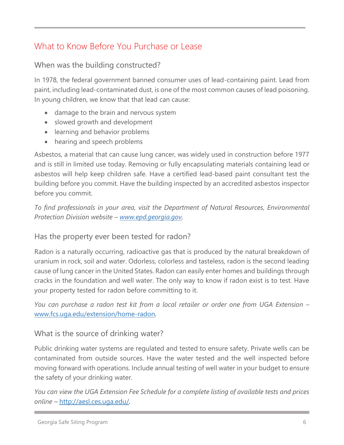# <span id="page-7-0"></span>What to Know Before You Purchase or Lease

# When was the building constructed?

In 1978, the federal government banned consumer uses of lead-containing paint. Lead from paint, including lead-contaminated dust, is one of the most common causes of lead poisoning. In young children, we know that that lead can cause:

- damage to the brain and nervous system
- slowed growth and development
- learning and behavior problems
- hearing and speech problems

Asbestos, a material that can cause lung cancer, was widely used in construction before 1977 and is still in limited use today. Removing or fully encapsulating materials containing lead or asbestos will help keep children safe. Have a certified lead-based paint consultant test the building before you commit. Have the building inspected by an accredited asbestos inspector before you commit.

*To find professionals in your area, visit the Department of Natural Resources, Environmental Protection Division website – [www.epd.georgia.gov.](http://www.epd.georgia.gov/)*

# Has the property ever been tested for radon?

Radon is a naturally occurring, radioactive gas that is produced by the natural breakdown of uranium in rock, soil and water. Odorless, colorless and tasteless, radon is the second leading cause of lung cancer in the United States. Radon can easily enter homes and buildings through cracks in the foundation and well water. The only way to know if radon exist is to test. Have your property tested for radon before committing to it.

*You can purchase a radon test kit from a local retailer or order one from UGA Extension –* [www.fcs.uga.edu/extension/home-radon](http://www.fcs.uga.edu/extension/home-radon)*.*

# What is the source of drinking water?

Public drinking water systems are regulated and tested to ensure safety. Private wells can be contaminated from outside sources. Have the water tested and the well inspected before moving forward with operations. Include annual testing of well water in your budget to ensure the safety of your drinking water.

*You can view the UGA Extension Fee Schedule for a complete listing of available tests and prices online –* <http://aesl.ces.uga.edu/>*.*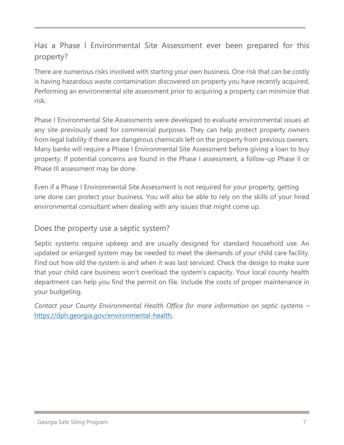# Has a Phase l Environmental Site Assessment ever been prepared for this property?

There are numerous risks involved with starting your own business. One risk that can be costly is having hazardous waste contamination discovered on property you have recently acquired. Performing an environmental site assessment prior to acquiring a property can minimize that risk.

Phase I Environmental Site Assessments were developed to evaluate environmental issues at any site previously used for commercial purposes. They can help protect property owners from legal liability if there are dangerous chemicals left on the property from previous owners. Many banks will require a Phase I Environmental Site Assessment before giving a loan to buy property. If potential concerns are found in the Phase I assessment, a follow-up Phase II or Phase III assessment may be done.

Even if a Phase I Environmental Site Assessment is not required for your property, getting one done can protect your business. You will also be able to rely on the skills of your hired environmental consultant when dealing with any issues that might come up.

# Does the property use a septic system?

Septic systems require upkeep and are usually designed for standard household use. An updated or enlarged system may be needed to meet the demands of your child care facility. Find out how old the system is and when it was last serviced. Check the design to make sure that your child care business won't overload the system's capacity. Your local county health department can help you find the permit on file. Include the costs of proper maintenance in your budgeting.

*Contact your County Environmental Health Office for more information on septic systems –* <https://dph.georgia.gov/environmental-health>*.*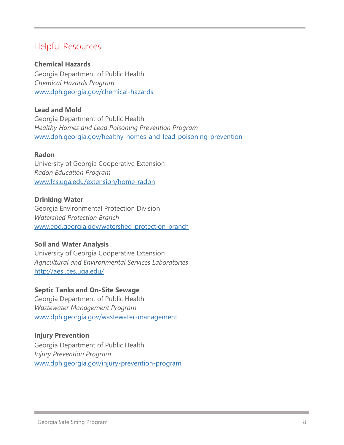# <span id="page-9-0"></span>Helpful Resources

## **Chemical Hazards**

Georgia Department of Public Health *Chemical Hazards Program*  [www.dph.georgia.gov/chemical-hazards](http://www.dph.georgia.gov/chemical-hazards)

# **Lead and Mold**

Georgia Department of Public Health *Healthy Homes and Lead Poisoning Prevention Program* [www.dph.georgia.gov/healthy-homes-and-lead-poisoning-prevention](http://www.dph.georgia.gov/healthy-homes-and-lead-poisoning-prevention)

## **Radon**

University of Georgia Cooperative Extension *Radon Education Program* [www.fcs.uga.edu/extension/home-radon](http://www.fcs.uga.edu/extension/home-radon)

## **Drinking Water**

Georgia Environmental Protection Division *Watershed Protection Branch* [www.epd.georgia.gov/watershed-protection-branch](https://epd.georgia.gov/watershed-protection-branch)

## **Soil and Water Analysis**

University of Georgia Cooperative Extension *Agricultural and Environmental Services Laboratories* <http://aesl.ces.uga.edu/>

## **Septic Tanks and On-Site Sewage**

Georgia Department of Public Health *Wastewater Management Program* www[.dph.georgia.gov/wastewater-management](https://dph.georgia.gov/wastewater-management)

## **Injury Prevention**

Georgia Department of Public Health *Injury Prevention Program* [www.dph.georgia.gov/injury-prevention-program](http://www.dph.georgia.gov/injury-prevention-program)